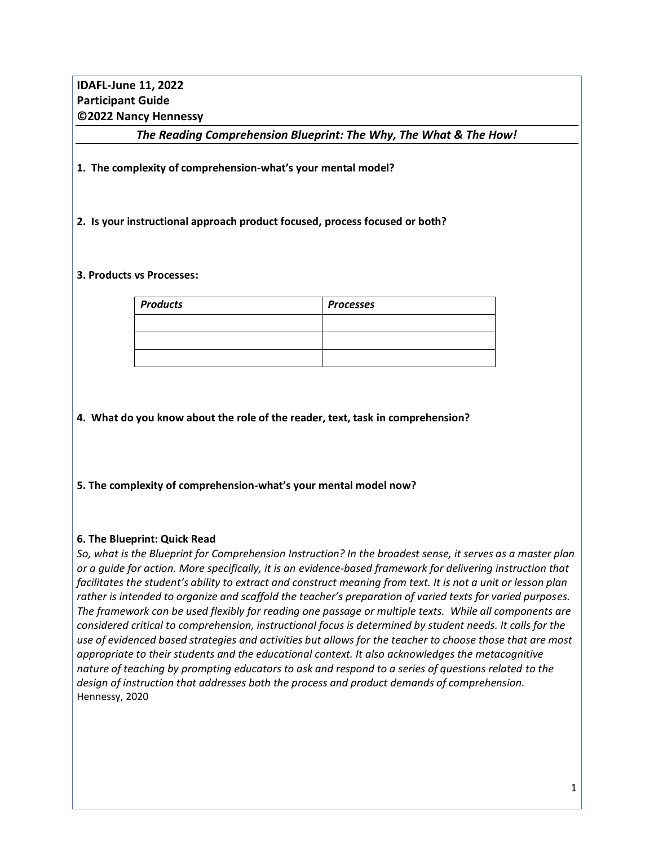# **IDAFL-June 11, 2022 Participant Guide ©2022 Nancy Hennessy**

*The Reading Comprehension Blueprint: The Why, The What & The How!*

**1. The complexity of comprehension-what's your mental model?**

### **2. Is your instructional approach product focused, process focused or both?**

#### **3. Products vs Processes:**

| <b>Products</b> | <b>Processes</b> |  |
|-----------------|------------------|--|
|                 |                  |  |
|                 |                  |  |
|                 |                  |  |

**4. What do you know about the role of the reader, text, task in comprehension?**

**5. The complexity of comprehension-what's your mental model now?**

## **6. The Blueprint: Quick Read**

*So, what is the Blueprint for Comprehension Instruction? In the broadest sense, it serves as a master plan or a guide for action. More specifically, it is an evidence-based framework for delivering instruction that facilitates the student's ability to extract and construct meaning from text. It is not a unit or lesson plan rather is intended to organize and scaffold the teacher's preparation of varied texts for varied purposes. The framework can be used flexibly for reading one passage or multiple texts. While all components are considered critical to comprehension, instructional focus is determined by student needs. It calls for the use of evidenced based strategies and activities but allows for the teacher to choose those that are most appropriate to their students and the educational context. It also acknowledges the metacognitive nature of teaching by prompting educators to ask and respond to a series of questions related to the design of instruction that addresses both the process and product demands of comprehension.*  Hennessy, 2020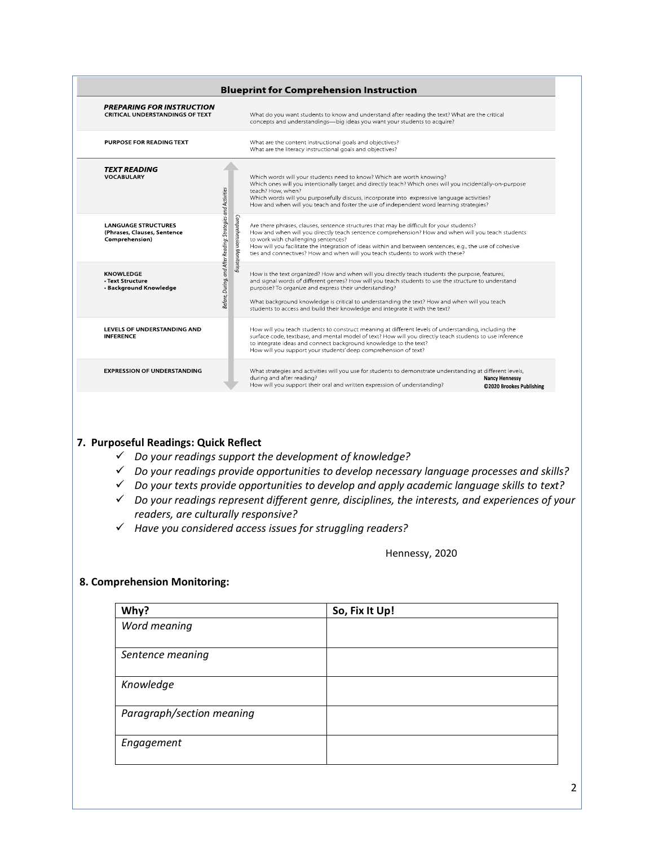| <b>PREPARING FOR INSTRUCTION</b><br><b>CRITICAL UNDERSTANDINGS OF TEXT</b>                                                                                                        |                          | What do you want students to know and understand after reading the text? What are the critical<br>concepts and understandings-big ideas you want your students to acquire?                                                                                                                                                                                                                                                                       |
|-----------------------------------------------------------------------------------------------------------------------------------------------------------------------------------|--------------------------|--------------------------------------------------------------------------------------------------------------------------------------------------------------------------------------------------------------------------------------------------------------------------------------------------------------------------------------------------------------------------------------------------------------------------------------------------|
| PURPOSE FOR READING TEXT                                                                                                                                                          |                          | What are the content instructional goals and objectives?<br>What are the literacy instructional goals and objectives?                                                                                                                                                                                                                                                                                                                            |
| <b>TEXT READING</b><br><b>VOCABULARY</b>                                                                                                                                          |                          | Which words will your students need to know? Which are worth knowing?<br>Which ones will you intentionally target and directly teach? Which ones will you incidentally-on-purpose<br>teach? How, when?<br>Which words will you purposefully discuss, incorporate into expressive language activities?<br>How and when will you teach and foster the use of independent word learning strategies?                                                 |
| <b>LANGUAGE STRUCTURES</b><br>(Phrases, Clauses, Sentence<br>Comprehension)                                                                                                       | Comprehension Monitoring | Are there phrases, clauses, sentence structures that may be difficult for your students?<br>How and when will you directly teach sentence comprehension? How and when will you teach students<br>to work with challenging sentences?<br>How will you facilitate the integration of ideas within and between sentences, e.g., the use of cohesive<br>ties and connectives? How and when will you teach students to work with these?               |
| Before, During, and After Reading: Strategies and Activities<br><b>KNOWLEDGE</b><br>• Text Structure<br>• Background Knowledge<br>LEVELS OF UNDERSTANDING AND<br><b>INFERENCE</b> |                          | How is the text organized? How and when will you directly teach students the purpose, features,<br>and signal words of different genres? How will you teach students to use the structure to understand<br>purpose? To organize and express their understanding?<br>What background knowledge is critical to understanding the text? How and when will you teach<br>students to access and build their knowledge and integrate it with the text? |
|                                                                                                                                                                                   |                          | How will you teach students to construct meaning at different levels of understanding, including the<br>surface code, textbase, and mental model of text? How will you directly teach students to use inference<br>to integrate ideas and connect background knowledge to the text?<br>How will you support your students' deep comprehension of text?                                                                                           |
| <b>EXPRESSION OF UNDERSTANDING</b>                                                                                                                                                |                          | What strategies and activities will you use for students to demonstrate understanding at different levels,<br>during and after reading?<br><b>Nancy Hennessy</b><br>How will you support their oral and written expression of understanding?<br>©2020 Brookes Publishing                                                                                                                                                                         |
|                                                                                                                                                                                   |                          |                                                                                                                                                                                                                                                                                                                                                                                                                                                  |

## ✓ *Do your readings support the development of knowledge?*

- ✓ *Do your readings provide opportunities to develop necessary language processes and skills?*
- ✓ *Do your texts provide opportunities to develop and apply academic language skills to text?*
- ✓ *Do your readings represent different genre, disciplines, the interests, and experiences of your readers, are culturally responsive?*
- ✓ *Have you considered access issues for struggling readers?*

Hennessy, 2020

#### **8. Comprehension Monitoring:**

| Why?                      | So, Fix It Up! |
|---------------------------|----------------|
| Word meaning              |                |
| Sentence meaning          |                |
| Knowledge                 |                |
| Paragraph/section meaning |                |
| Engagement                |                |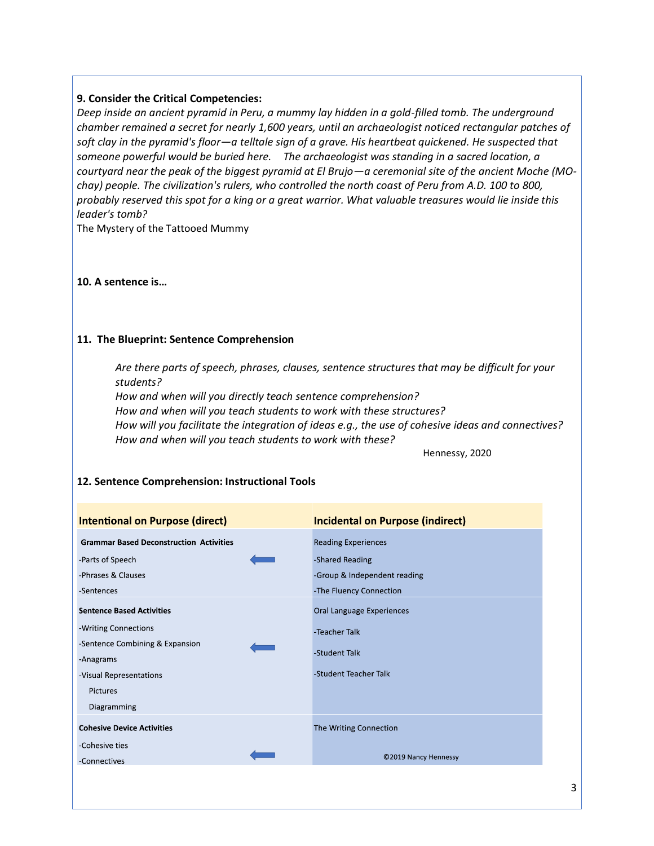## **9. Consider the Critical Competencies:**

*Deep inside an ancient pyramid in Peru, a mummy lay hidden in a gold-filled tomb. The underground chamber remained a secret for nearly 1,600 years, until an archaeologist noticed rectangular patches of soft clay in the pyramid's floor—a telltale sign of a grave. His heartbeat quickened. He suspected that someone powerful would be buried here. The archaeologist was standing in a sacred location, a courtyard near the peak of the biggest pyramid at El Brujo—a ceremonial site of the ancient Moche (MOchay) people. The civilization's rulers, who controlled the north coast of Peru from A.D. 100 to 800, probably reserved this spot for a king or a great warrior. What valuable treasures would lie inside this leader's tomb?* 

The Mystery of the Tattooed Mummy

### **10. A sentence is…**

### **11. The Blueprint: Sentence Comprehension**

*Are there parts of speech, phrases, clauses, sentence structures that may be difficult for your students?* 

*How and when will you directly teach sentence comprehension? How and when will you teach students to work with these structures? How will you facilitate the integration of ideas e.g., the use of cohesive ideas and connectives? How and when will you teach students to work with these?*

Hennessy, 2020

| <b>Intentional on Purpose (direct)</b>         | <b>Incidental on Purpose (indirect)</b> |  |
|------------------------------------------------|-----------------------------------------|--|
| <b>Grammar Based Deconstruction Activities</b> | <b>Reading Experiences</b>              |  |
| -Parts of Speech                               | -Shared Reading                         |  |
| -Phrases & Clauses                             | -Group & Independent reading            |  |
| -Sentences                                     | -The Fluency Connection                 |  |
| <b>Sentence Based Activities</b>               | Oral Language Experiences               |  |
| -Writing Connections                           | -Teacher Talk                           |  |
| -Sentence Combining & Expansion                |                                         |  |
| -Anagrams                                      | -Student Talk                           |  |
| -Visual Representations                        | -Student Teacher Talk                   |  |
| Pictures                                       |                                         |  |
| Diagramming                                    |                                         |  |
| <b>Cohesive Device Activities</b>              | The Writing Connection                  |  |
| -Cohesive ties                                 |                                         |  |
| -Connectives                                   | ©2019 Nancy Hennessy                    |  |

# **12. Sentence Comprehension: Instructional Tools**